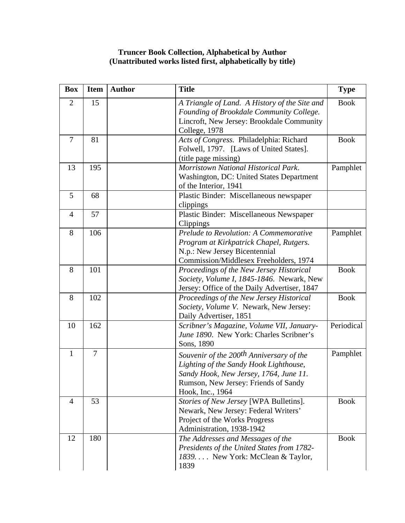## **Truncer Book Collection, Alphabetical by Author (Unattributed works listed first, alphabetically by title)**

| <b>Box</b>     | <b>Item</b>    | <b>Author</b> | <b>Title</b>                                                                                                                                                                                         | <b>Type</b> |
|----------------|----------------|---------------|------------------------------------------------------------------------------------------------------------------------------------------------------------------------------------------------------|-------------|
| $\overline{2}$ | 15             |               | A Triangle of Land. A History of the Site and<br>Founding of Brookdale Community College.<br>Lincroft, New Jersey: Brookdale Community<br>College, 1978                                              | <b>Book</b> |
| $\overline{7}$ | 81             |               | Acts of Congress. Philadelphia: Richard<br>Folwell, 1797. [Laws of United States].<br>(title page missing)                                                                                           | <b>Book</b> |
| 13             | 195            |               | Morristown National Historical Park.<br>Washington, DC: United States Department<br>of the Interior, 1941                                                                                            | Pamphlet    |
| 5              | 68             |               | Plastic Binder: Miscellaneous newspaper<br>clippings                                                                                                                                                 |             |
| $\overline{4}$ | 57             |               | Plastic Binder: Miscellaneous Newspaper<br>Clippings                                                                                                                                                 |             |
| 8              | 106            |               | Prelude to Revolution: A Commemorative<br>Program at Kirkpatrick Chapel, Rutgers.<br>N.p.: New Jersey Bicentennial<br>Commission/Middlesex Freeholders, 1974                                         | Pamphlet    |
| 8              | 101            |               | Proceedings of the New Jersey Historical<br>Society, Volume I, 1845-1846. Newark, New<br>Jersey: Office of the Daily Advertiser, 1847                                                                | <b>Book</b> |
| 8              | 102            |               | Proceedings of the New Jersey Historical<br>Society, Volume V. Newark, New Jersey:<br>Daily Advertiser, 1851                                                                                         | <b>Book</b> |
| 10             | 162            |               | Scribner's Magazine, Volume VII, January-<br>June 1890. New York: Charles Scribner's<br>Sons, 1890                                                                                                   | Periodical  |
| $\mathbf{1}$   | $\overline{7}$ |               | Souvenir of the 200 <sup>th</sup> Anniversary of the<br>Lighting of the Sandy Hook Lighthouse,<br>Sandy Hook, New Jersey, 1764, June 11.<br>Rumson, New Jersey: Friends of Sandy<br>Hook, Inc., 1964 | Pamphlet    |
| $\overline{4}$ | 53             |               | Stories of New Jersey [WPA Bulletins].<br>Newark, New Jersey: Federal Writers'<br>Project of the Works Progress<br>Administration, 1938-1942                                                         | <b>Book</b> |
| 12             | 180            |               | The Addresses and Messages of the<br>Presidents of the United States from 1782-<br>1839 New York: McClean & Taylor,<br>1839                                                                          | <b>Book</b> |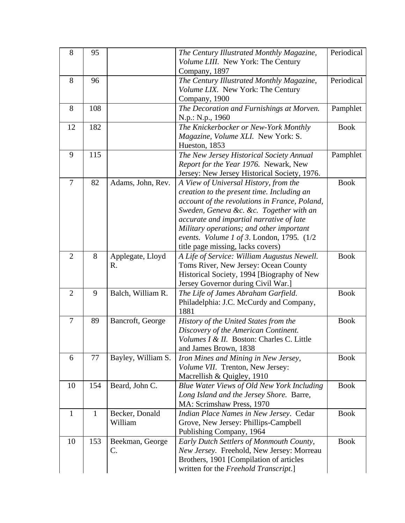| 8              | 95           |                    | The Century Illustrated Monthly Magazine,       | Periodical  |
|----------------|--------------|--------------------|-------------------------------------------------|-------------|
|                |              |                    | Volume LIII. New York: The Century              |             |
|                |              |                    | Company, 1897                                   |             |
| 8              | 96           |                    | The Century Illustrated Monthly Magazine,       | Periodical  |
|                |              |                    | Volume LIX. New York: The Century               |             |
|                |              |                    | Company, 1900                                   |             |
| 8              | 108          |                    | The Decoration and Furnishings at Morven.       | Pamphlet    |
|                |              |                    | N.p.: N.p., 1960                                |             |
| 12             | 182          |                    | The Knickerbocker or New-York Monthly           | <b>Book</b> |
|                |              |                    | Magazine, Volume XLI. New York: S.              |             |
|                |              |                    | Hueston, 1853                                   |             |
| 9              | 115          |                    | The New Jersey Historical Society Annual        | Pamphlet    |
|                |              |                    | Report for the Year 1976. Newark, New           |             |
|                |              |                    | Jersey: New Jersey Historical Society, 1976.    |             |
| $\overline{7}$ | 82           | Adams, John, Rev.  | A View of Universal History, from the           | <b>Book</b> |
|                |              |                    | creation to the present time. Including an      |             |
|                |              |                    | account of the revolutions in France, Poland,   |             |
|                |              |                    | Sweden, Geneva &c. &c. Together with an         |             |
|                |              |                    | accurate and impartial narrative of late        |             |
|                |              |                    | Military operations; and other important        |             |
|                |              |                    | events. Volume 1 of 3. London, 1795. $(1/2)$    |             |
|                |              |                    | title page missing, lacks covers)               |             |
| $\overline{2}$ | 8            | Applegate, Lloyd   | A Life of Service: William Augustus Newell.     | <b>Book</b> |
|                |              | R.                 | Toms River, New Jersey: Ocean County            |             |
|                |              |                    | Historical Society, 1994 [Biography of New      |             |
| $\overline{2}$ | 9            |                    | Jersey Governor during Civil War.]              | <b>Book</b> |
|                |              | Balch, William R.  | The Life of James Abraham Garfield.             |             |
|                |              |                    | Philadelphia: J.C. McCurdy and Company,<br>1881 |             |
| 7              | 89           | Bancroft, George   | History of the United States from the           | <b>Book</b> |
|                |              |                    | Discovery of the American Continent.            |             |
|                |              |                    | Volumes I & II. Boston: Charles C. Little       |             |
|                |              |                    | and James Brown, 1838                           |             |
| 6              | 77           | Bayley, William S. | Iron Mines and Mining in New Jersey,            | <b>Book</b> |
|                |              |                    | Volume VII. Trenton, New Jersey:                |             |
|                |              |                    | Macrellish & Quigley, 1910                      |             |
| 10             | 154          | Beard, John C.     | Blue Water Views of Old New York Including      | <b>Book</b> |
|                |              |                    | Long Island and the Jersey Shore. Barre,        |             |
|                |              |                    | MA: Scrimshaw Press, 1970                       |             |
| $\mathbf{1}$   | $\mathbf{1}$ | Becker, Donald     | Indian Place Names in New Jersey. Cedar         | <b>Book</b> |
|                |              | William            | Grove, New Jersey: Phillips-Campbell            |             |
|                |              |                    | Publishing Company, 1964                        |             |
| 10             | 153          | Beekman, George    | Early Dutch Settlers of Monmouth County,        | <b>Book</b> |
|                |              | C.                 | New Jersey. Freehold, New Jersey: Morreau       |             |
|                |              |                    | Brothers, 1901 [Compilation of articles         |             |
|                |              |                    | written for the Freehold Transcript.]           |             |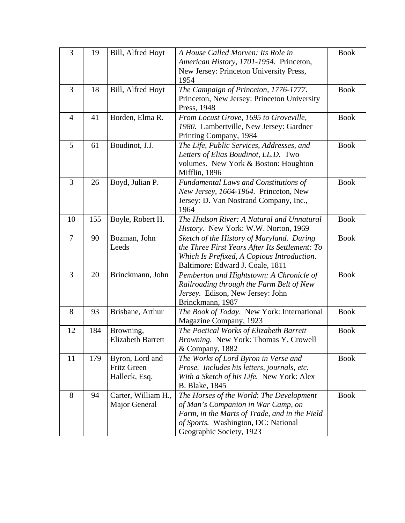| 3              | 19  | Bill, Alfred Hoyt        | A House Called Morven: Its Role in                                                          | <b>Book</b> |
|----------------|-----|--------------------------|---------------------------------------------------------------------------------------------|-------------|
|                |     |                          | American History, 1701-1954. Princeton,                                                     |             |
|                |     |                          | New Jersey: Princeton University Press,<br>1954                                             |             |
| 3              | 18  | Bill, Alfred Hoyt        | The Campaign of Princeton, 1776-1777.                                                       | <b>Book</b> |
|                |     |                          | Princeton, New Jersey: Princeton University                                                 |             |
|                |     |                          | Press, 1948                                                                                 |             |
| $\overline{4}$ | 41  | Borden, Elma R.          | From Locust Grove, 1695 to Groveville,                                                      | <b>Book</b> |
|                |     |                          | 1980. Lambertville, New Jersey: Gardner                                                     |             |
|                |     |                          | Printing Company, 1984                                                                      |             |
| 5              | 61  | Boudinot, J.J.           | The Life, Public Services, Addresses, and                                                   | <b>Book</b> |
|                |     |                          | Letters of Elias Boudinot, LL.D. Two                                                        |             |
|                |     |                          | volumes. New York & Boston: Houghton                                                        |             |
|                |     |                          | Mifflin, 1896                                                                               |             |
| 3              | 26  | Boyd, Julian P.          | <b>Fundamental Laws and Constitutions of</b>                                                | <b>Book</b> |
|                |     |                          | New Jersey, 1664-1964. Princeton, New                                                       |             |
|                |     |                          | Jersey: D. Van Nostrand Company, Inc.,                                                      |             |
|                |     |                          | 1964                                                                                        |             |
| 10             | 155 | Boyle, Robert H.         | The Hudson River: A Natural and Unnatural                                                   | <b>Book</b> |
| $\overline{7}$ | 90  |                          | History. New York: W.W. Norton, 1969                                                        | <b>Book</b> |
|                |     | Bozman, John<br>Leeds    | Sketch of the History of Maryland. During<br>the Three First Years After Its Settlement: To |             |
|                |     |                          | Which Is Prefixed, A Copious Introduction.                                                  |             |
|                |     |                          | Baltimore: Edward J. Coale, 1811                                                            |             |
| 3              | 20  | Brinckmann, John         | Pemberton and Hightstown: A Chronicle of                                                    | <b>Book</b> |
|                |     |                          | Railroading through the Farm Belt of New                                                    |             |
|                |     |                          | Jersey. Edison, New Jersey: John                                                            |             |
|                |     |                          | Brinckmann, 1987                                                                            |             |
| 8              | 93  | Brisbane, Arthur         | The Book of Today. New York: International                                                  | <b>Book</b> |
|                |     |                          | Magazine Company, 1923                                                                      |             |
| 12             | 184 | Browning,                | The Poetical Works of Elizabeth Barrett                                                     | <b>Book</b> |
|                |     | <b>Elizabeth Barrett</b> | Browning. New York: Thomas Y. Crowell                                                       |             |
|                |     |                          | & Company, 1882                                                                             |             |
| 11             | 179 | Byron, Lord and          | The Works of Lord Byron in Verse and                                                        | <b>Book</b> |
|                |     | <b>Fritz Green</b>       | Prose. Includes his letters, journals, etc.                                                 |             |
|                |     | Halleck, Esq.            | With a Sketch of his Life. New York: Alex                                                   |             |
|                |     |                          | <b>B.</b> Blake, 1845                                                                       |             |
| 8              | 94  | Carter, William H.,      | The Horses of the World: The Development                                                    | <b>Book</b> |
|                |     | Major General            | of Man's Companion in War Camp, on                                                          |             |
|                |     |                          | Farm, in the Marts of Trade, and in the Field                                               |             |
|                |     |                          | of Sports. Washington, DC: National                                                         |             |
|                |     |                          | Geographic Society, 1923                                                                    |             |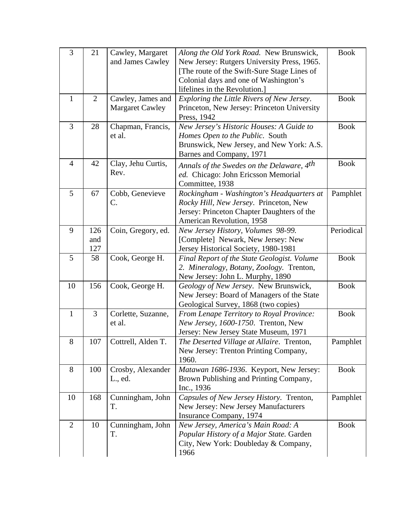| 3              | 21                | Cawley, Margaret<br>and James Cawley        | Along the Old York Road. New Brunswick,<br>New Jersey: Rutgers University Press, 1965.<br>[The route of the Swift-Sure Stage Lines of<br>Colonial days and one of Washington's<br>lifelines in the Revolution.] | <b>Book</b> |
|----------------|-------------------|---------------------------------------------|-----------------------------------------------------------------------------------------------------------------------------------------------------------------------------------------------------------------|-------------|
| $\mathbf{1}$   | $\overline{2}$    | Cawley, James and<br><b>Margaret Cawley</b> | Exploring the Little Rivers of New Jersey.<br>Princeton, New Jersey: Princeton University<br>Press, 1942                                                                                                        | <b>Book</b> |
| 3              | 28                | Chapman, Francis,<br>et al.                 | New Jersey's Historic Houses: A Guide to<br>Homes Open to the Public. South<br>Brunswick, New Jersey, and New York: A.S.<br>Barnes and Company, 1971                                                            | <b>Book</b> |
| $\overline{4}$ | 42                | Clay, Jehu Curtis,<br>Rev.                  | Annals of the Swedes on the Delaware, 4 <sup>th</sup><br>ed. Chicago: John Ericsson Memorial<br>Committee, 1938                                                                                                 | <b>Book</b> |
| 5              | 67                | Cobb, Genevieve<br>C.                       | Rockingham - Washington's Headquarters at<br>Rocky Hill, New Jersey. Princeton, New<br>Jersey: Princeton Chapter Daughters of the<br>American Revolution, 1958                                                  | Pamphlet    |
| 9              | 126<br>and<br>127 | Coin, Gregory, ed.                          | New Jersey History, Volumes 98-99.<br>[Complete] Newark, New Jersey: New<br>Jersey Historical Society, 1980-1981                                                                                                | Periodical  |
| 5              | 58                | Cook, George H.                             | Final Report of the State Geologist. Volume<br>2. Mineralogy, Botany, Zoology. Trenton,<br>New Jersey: John L. Murphy, 1890                                                                                     | <b>Book</b> |
| 10             | 156               | Cook, George H.                             | Geology of New Jersey. New Brunswick,<br>New Jersey: Board of Managers of the State<br>Geological Survey, 1868 (two copies)                                                                                     | <b>Book</b> |
| $\mathbf{1}$   | 3                 | Corlette, Suzanne,<br>et al.                | From Lenape Territory to Royal Province:<br>New Jersey, 1600-1750. Trenton, New<br>Jersey: New Jersey State Museum, 1971                                                                                        | <b>Book</b> |
| 8              | 107               | Cottrell, Alden T.                          | The Deserted Village at Allaire. Trenton,<br>New Jersey: Trenton Printing Company,<br>1960.                                                                                                                     | Pamphlet    |
| 8              | 100               | Crosby, Alexander<br>L., ed.                | Matawan 1686-1936. Keyport, New Jersey:<br>Brown Publishing and Printing Company,<br>Inc., 1936                                                                                                                 | <b>Book</b> |
| 10             | 168               | Cunningham, John<br>T.                      | Capsules of New Jersey History. Trenton,<br>New Jersey: New Jersey Manufacturers<br>Insurance Company, 1974                                                                                                     | Pamphlet    |
| $\overline{2}$ | 10                | Cunningham, John<br>T.                      | New Jersey, America's Main Road: A<br>Popular History of a Major State. Garden<br>City, New York: Doubleday & Company,<br>1966                                                                                  | <b>Book</b> |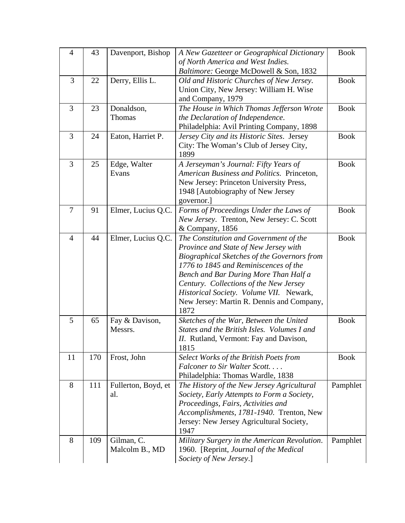| $\overline{4}$ | 43  | Davenport, Bishop   | A New Gazetteer or Geographical Dictionary                                        | <b>Book</b> |
|----------------|-----|---------------------|-----------------------------------------------------------------------------------|-------------|
|                |     |                     | of North America and West Indies.                                                 |             |
| 3              |     |                     | Baltimore: George McDowell & Son, 1832                                            |             |
|                | 22  | Derry, Ellis L.     | Old and Historic Churches of New Jersey.                                          | <b>Book</b> |
|                |     |                     | Union City, New Jersey: William H. Wise<br>and Company, 1979                      |             |
| 3              | 23  | Donaldson,          | The House in Which Thomas Jefferson Wrote                                         | <b>Book</b> |
|                |     | Thomas              | the Declaration of Independence.                                                  |             |
|                |     |                     | Philadelphia: Avil Printing Company, 1898                                         |             |
| 3              | 24  | Eaton, Harriet P.   | Jersey City and its Historic Sites. Jersey                                        | <b>Book</b> |
|                |     |                     | City: The Woman's Club of Jersey City,                                            |             |
|                |     |                     | 1899                                                                              |             |
| 3              | 25  | Edge, Walter        | A Jerseyman's Journal: Fifty Years of                                             | <b>Book</b> |
|                |     | Evans               | American Business and Politics. Princeton,                                        |             |
|                |     |                     | New Jersey: Princeton University Press,                                           |             |
|                |     |                     | 1948 [Autobiography of New Jersey                                                 |             |
|                |     |                     | governor.]                                                                        |             |
| $\overline{7}$ | 91  | Elmer, Lucius Q.C.  | Forms of Proceedings Under the Laws of                                            | <b>Book</b> |
|                |     |                     | New Jersey. Trenton, New Jersey: C. Scott                                         |             |
|                |     |                     | & Company, 1856                                                                   |             |
| $\overline{4}$ | 44  | Elmer, Lucius Q.C.  | The Constitution and Government of the                                            | <b>Book</b> |
|                |     |                     | Province and State of New Jersey with                                             |             |
|                |     |                     | Biographical Sketches of the Governors from                                       |             |
|                |     |                     | 1776 to 1845 and Reminiscences of the                                             |             |
|                |     |                     | Bench and Bar During More Than Half a                                             |             |
|                |     |                     | Century. Collections of the New Jersey<br>Historical Society. Volume VII. Newark, |             |
|                |     |                     | New Jersey: Martin R. Dennis and Company,                                         |             |
|                |     |                     | 1872                                                                              |             |
| 5              | 65  | Fay & Davison,      | Sketches of the War, Between the United                                           | <b>Book</b> |
|                |     | Messrs.             | States and the British Isles. Volumes I and                                       |             |
|                |     |                     | II. Rutland, Vermont: Fay and Davison,                                            |             |
|                |     |                     | 1815                                                                              |             |
| 11             | 170 | Frost, John         | Select Works of the British Poets from                                            | <b>Book</b> |
|                |     |                     | Falconer to Sir Walter Scott                                                      |             |
|                |     |                     | Philadelphia: Thomas Wardle, 1838                                                 |             |
| 8              | 111 | Fullerton, Boyd, et | The History of the New Jersey Agricultural                                        | Pamphlet    |
|                |     | al.                 | Society, Early Attempts to Form a Society,                                        |             |
|                |     |                     | Proceedings, Fairs, Activities and                                                |             |
|                |     |                     | Accomplishments, 1781-1940. Trenton, New                                          |             |
|                |     |                     | Jersey: New Jersey Agricultural Society,<br>1947                                  |             |
| 8              | 109 | Gilman, C.          | Military Surgery in the American Revolution.                                      | Pamphlet    |
|                |     | Malcolm B., MD      | 1960. [Reprint, Journal of the Medical                                            |             |
|                |     |                     | Society of New Jersey.]                                                           |             |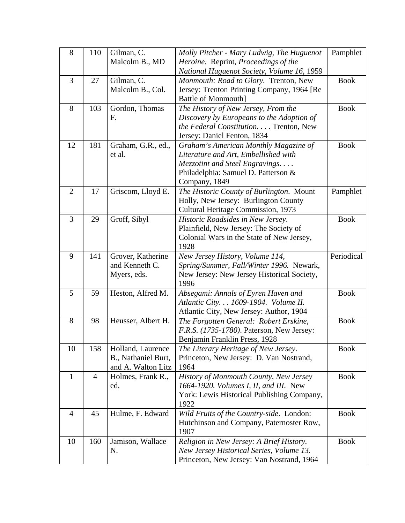| 8              | 110 | Gilman, C.          | Molly Pitcher - Mary Ludwig, The Huguenot                                         | Pamphlet    |
|----------------|-----|---------------------|-----------------------------------------------------------------------------------|-------------|
|                |     | Malcolm B., MD      | Heroine. Reprint, Proceedings of the                                              |             |
|                |     |                     | National Huguenot Society, Volume 16, 1959                                        |             |
| 3              | 27  | Gilman, C.          | Monmouth: Road to Glory. Trenton, New                                             | <b>Book</b> |
|                |     | Malcolm B., Col.    | Jersey: Trenton Printing Company, 1964 [Re                                        |             |
|                |     |                     | <b>Battle of Monmouth]</b>                                                        |             |
| 8              | 103 | Gordon, Thomas      | The History of New Jersey, From the                                               | <b>Book</b> |
|                |     | F.                  | Discovery by Europeans to the Adoption of                                         |             |
|                |     |                     | the Federal Constitution. Trenton, New                                            |             |
|                |     |                     | Jersey: Daniel Fenton, 1834                                                       |             |
| 12             | 181 | Graham, G.R., ed.,  | Graham's American Monthly Magazine of                                             | <b>Book</b> |
|                |     | et al.              | Literature and Art, Embellished with                                              |             |
|                |     |                     | Mezzotint and Steel Engravings                                                    |             |
|                |     |                     | Philadelphia: Samuel D. Patterson &                                               |             |
|                |     |                     | Company, 1849                                                                     |             |
| $\overline{2}$ | 17  | Griscom, Lloyd E.   | The Historic County of Burlington. Mount                                          | Pamphlet    |
|                |     |                     | Holly, New Jersey: Burlington County                                              |             |
|                |     |                     | Cultural Heritage Commission, 1973                                                |             |
| 3              | 29  | Groff, Sibyl        | Historic Roadsides in New Jersey.                                                 | <b>Book</b> |
|                |     |                     | Plainfield, New Jersey: The Society of                                            |             |
|                |     |                     | Colonial Wars in the State of New Jersey,                                         |             |
|                |     |                     | 1928                                                                              |             |
| 9              | 141 | Grover, Katherine   | New Jersey History, Volume 114,                                                   | Periodical  |
|                |     | and Kenneth C.      | Spring/Summer, Fall/Winter 1996. Newark,                                          |             |
|                |     | Myers, eds.         | New Jersey: New Jersey Historical Society,                                        |             |
|                |     |                     | 1996                                                                              |             |
| 5              | 59  | Heston, Alfred M.   | Absegami: Annals of Eyren Haven and                                               | <b>Book</b> |
|                |     |                     | Atlantic City. 1609-1904. Volume II.                                              |             |
| 8              | 98  | Heusser, Albert H.  | Atlantic City, New Jersey: Author, 1904<br>The Forgotten General: Robert Erskine, | <b>Book</b> |
|                |     |                     | F.R.S. (1735-1780). Paterson, New Jersey:                                         |             |
|                |     |                     | Benjamin Franklin Press, 1928                                                     |             |
| 10             | 158 | Holland, Laurence   | The Literary Heritage of New Jersey.                                              | <b>Book</b> |
|                |     | B., Nathaniel Burt, | Princeton, New Jersey: D. Van Nostrand,                                           |             |
|                |     | and A. Walton Litz  | 1964                                                                              |             |
| $\mathbf{1}$   | 4   | Holmes, Frank R.,   | History of Monmouth County, New Jersey                                            | <b>Book</b> |
|                |     | ed.                 | 1664-1920. Volumes I, II, and III. New                                            |             |
|                |     |                     | York: Lewis Historical Publishing Company,                                        |             |
|                |     |                     | 1922                                                                              |             |
| $\overline{4}$ | 45  | Hulme, F. Edward    | Wild Fruits of the Country-side. London:                                          | <b>Book</b> |
|                |     |                     | Hutchinson and Company, Paternoster Row,                                          |             |
|                |     |                     | 1907                                                                              |             |
| 10             | 160 | Jamison, Wallace    | Religion in New Jersey: A Brief History.                                          | <b>Book</b> |
|                |     | N.                  | New Jersey Historical Series, Volume 13.                                          |             |
|                |     |                     | Princeton, New Jersey: Van Nostrand, 1964                                         |             |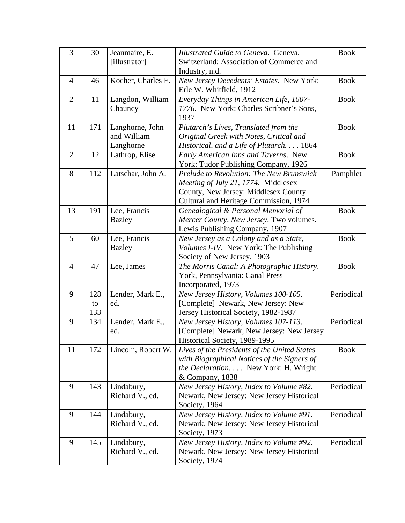| 3              | 30  | Jeanmaire, E.      | Illustrated Guide to Geneva. Geneva,          | <b>Book</b> |
|----------------|-----|--------------------|-----------------------------------------------|-------------|
|                |     | [illustrator]      | Switzerland: Association of Commerce and      |             |
|                |     |                    | Industry, n.d.                                |             |
| $\overline{4}$ | 46  | Kocher, Charles F. | New Jersey Decedents' Estates. New York:      | <b>Book</b> |
|                |     |                    | Erle W. Whitfield, 1912                       |             |
| $\overline{2}$ | 11  | Langdon, William   | Everyday Things in American Life, 1607-       | <b>Book</b> |
|                |     | Chauncy            | 1776. New York: Charles Scribner's Sons,      |             |
|                |     |                    | 1937                                          |             |
| 11             | 171 | Langhorne, John    | Plutarch's Lives, Translated from the         | <b>Book</b> |
|                |     | and William        | Original Greek with Notes, Critical and       |             |
|                |     | Langhorne          | Historical, and a Life of Plutarch 1864       |             |
| $\overline{2}$ | 12  | Lathrop, Elise     | Early American Inns and Taverns. New          | <b>Book</b> |
|                |     |                    | York: Tudor Publishing Company, 1926          |             |
| 8              | 112 | Latschar, John A.  | Prelude to Revolution: The New Brunswick      | Pamphlet    |
|                |     |                    | Meeting of July 21, 1774. Middlesex           |             |
|                |     |                    | County, New Jersey: Middlesex County          |             |
|                |     |                    | Cultural and Heritage Commission, 1974        |             |
| 13             | 191 | Lee, Francis       | Genealogical & Personal Memorial of           | <b>Book</b> |
|                |     | <b>Bazley</b>      | Mercer County, New Jersey. Two volumes.       |             |
|                |     |                    | Lewis Publishing Company, 1907                |             |
| 5              | 60  | Lee, Francis       | New Jersey as a Colony and as a State,        | <b>Book</b> |
|                |     | <b>Bazley</b>      | <i>Volumes I-IV.</i> New York: The Publishing |             |
|                |     |                    | Society of New Jersey, 1903                   |             |
| 4              | 47  | Lee, James         | The Morris Canal: A Photographic History.     | <b>Book</b> |
|                |     |                    | York, Pennsylvania: Canal Press               |             |
|                |     |                    | Incorporated, 1973                            |             |
| 9              | 128 | Lender, Mark E.,   | New Jersey History, Volumes 100-105.          | Periodical  |
|                | to  | ed.                | [Complete] Newark, New Jersey: New            |             |
|                | 133 |                    | Jersey Historical Society, 1982-1987          |             |
| 9              | 134 | Lender, Mark E.,   | New Jersey History, Volumes 107-113.          | Periodical  |
|                |     | ed.                | [Complete] Newark, New Jersey: New Jersey     |             |
|                |     |                    | Historical Society, 1989-1995                 |             |
| 11             | 172 | Lincoln, Robert W. | Lives of the Presidents of the United States  | <b>Book</b> |
|                |     |                    | with Biographical Notices of the Signers of   |             |
|                |     |                    | the Declaration. New York: H. Wright          |             |
|                |     |                    | & Company, 1838                               |             |
| 9              | 143 | Lindabury,         | New Jersey History, Index to Volume #82.      | Periodical  |
|                |     | Richard V., ed.    | Newark, New Jersey: New Jersey Historical     |             |
|                |     |                    | Society, 1964                                 |             |
| 9              | 144 | Lindabury,         | New Jersey History, Index to Volume #91.      | Periodical  |
|                |     | Richard V., ed.    | Newark, New Jersey: New Jersey Historical     |             |
|                |     |                    | Society, 1973                                 |             |
| 9              | 145 | Lindabury,         | New Jersey History, Index to Volume #92.      | Periodical  |
|                |     | Richard V., ed.    | Newark, New Jersey: New Jersey Historical     |             |
|                |     |                    | Society, 1974                                 |             |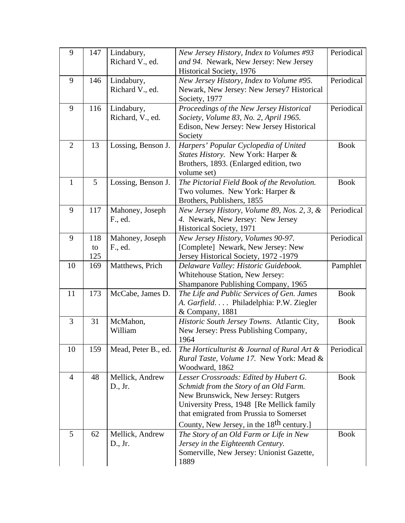| 9              | 147       | Lindabury,                    | New Jersey History, Index to Volumes #93                                                | Periodical  |
|----------------|-----------|-------------------------------|-----------------------------------------------------------------------------------------|-------------|
|                |           | Richard V., ed.               | and 94. Newark, New Jersey: New Jersey                                                  |             |
|                |           |                               | Historical Society, 1976                                                                | Periodical  |
| 9              | 146       | Lindabury,<br>Richard V., ed. | New Jersey History, Index to Volume #95.<br>Newark, New Jersey: New Jersey7 Historical  |             |
|                |           |                               | Society, 1977                                                                           |             |
| 9              | 116       | Lindabury,                    | Proceedings of the New Jersey Historical                                                | Periodical  |
|                |           | Richard, V., ed.              | Society, Volume 83, No. 2, April 1965.                                                  |             |
|                |           |                               | Edison, New Jersey: New Jersey Historical                                               |             |
| 2              | 13        |                               | Society                                                                                 | <b>Book</b> |
|                |           | Lossing, Benson J.            | Harpers' Popular Cyclopedia of United<br>States History. New York: Harper &             |             |
|                |           |                               | Brothers, 1893. (Enlarged edition, two                                                  |             |
|                |           |                               | volume set)                                                                             |             |
| $\mathbf{1}$   | 5         | Lossing, Benson J.            | The Pictorial Field Book of the Revolution.                                             | <b>Book</b> |
|                |           |                               | Two volumes. New York: Harper &                                                         |             |
|                |           |                               | Brothers, Publishers, 1855                                                              |             |
| 9              | 117       | Mahoney, Joseph               | New Jersey History, Volume 89, Nos. 2, 3, &                                             | Periodical  |
|                |           | F., ed.                       | 4. Newark, New Jersey: New Jersey                                                       |             |
|                |           |                               | Historical Society, 1971                                                                |             |
| 9              | 118       | Mahoney, Joseph               | New Jersey History, Volumes 90-97.                                                      | Periodical  |
|                | to<br>125 | F., ed.                       | [Complete] Newark, New Jersey: New                                                      |             |
| 10             | 169       | Matthews, Prich               | Jersey Historical Society, 1972 -1979<br>Delaware Valley: Historic Guidebook.           | Pamphlet    |
|                |           |                               | Whitehouse Station, New Jersey:                                                         |             |
|                |           |                               | Shampanore Publishing Company, 1965                                                     |             |
| 11             | 173       | McCabe, James D.              | The Life and Public Services of Gen. James                                              | <b>Book</b> |
|                |           |                               | A. Garfield. Philadelphia: P.W. Ziegler                                                 |             |
|                |           |                               | & Company, 1881                                                                         |             |
| 3              | 31        | McMahon,                      | Historic South Jersey Towns. Atlantic City,                                             | <b>Book</b> |
|                |           | William                       | New Jersey: Press Publishing Company,                                                   |             |
|                |           |                               | 1964                                                                                    |             |
| 10             | 159       | Mead, Peter B., ed.           | The Horticulturist & Journal of Rural Art &<br>Rural Taste, Volume 17. New York: Mead & | Periodical  |
|                |           |                               | Woodward, 1862                                                                          |             |
| $\overline{4}$ | 48        | Mellick, Andrew               | Lesser Crossroads: Edited by Hubert G.                                                  | <b>Book</b> |
|                |           | D., Jr.                       | Schmidt from the Story of an Old Farm.                                                  |             |
|                |           |                               | New Brunswick, New Jersey: Rutgers                                                      |             |
|                |           |                               | University Press, 1948 [Re Mellick family                                               |             |
|                |           |                               | that emigrated from Prussia to Somerset                                                 |             |
|                |           |                               | County, New Jersey, in the 18 <sup>th</sup> century.]                                   |             |
| 5              | 62        | Mellick, Andrew               | The Story of an Old Farm or Life in New                                                 | <b>Book</b> |
|                |           | D., Jr.                       | Jersey in the Eighteenth Century.                                                       |             |
|                |           |                               | Somerville, New Jersey: Unionist Gazette,                                               |             |
|                |           |                               | 1889                                                                                    |             |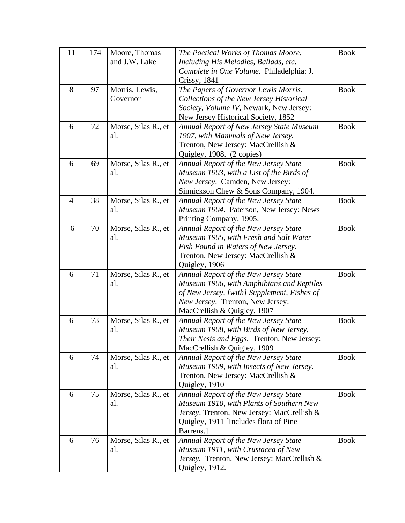| 11             | 174 | Moore, Thomas       | The Poetical Works of Thomas Moore,         | <b>Book</b> |
|----------------|-----|---------------------|---------------------------------------------|-------------|
|                |     | and J.W. Lake       | Including His Melodies, Ballads, etc.       |             |
|                |     |                     | Complete in One Volume. Philadelphia: J.    |             |
|                |     |                     | Crissy, 1841                                |             |
| 8              | 97  | Morris, Lewis,      | The Papers of Governor Lewis Morris.        | <b>Book</b> |
|                |     | Governor            | Collections of the New Jersey Historical    |             |
|                |     |                     | Society, Volume IV, Newark, New Jersey:     |             |
|                |     |                     | New Jersey Historical Society, 1852         |             |
| 6              | 72  | Morse, Silas R., et | Annual Report of New Jersey State Museum    | <b>Book</b> |
|                |     | al.                 | 1907, with Mammals of New Jersey.           |             |
|                |     |                     | Trenton, New Jersey: MacCrellish &          |             |
|                |     |                     | Quigley, 1908. (2 copies)                   |             |
| 6              | 69  | Morse, Silas R., et | Annual Report of the New Jersey State       | <b>Book</b> |
|                |     | al.                 | Museum 1903, with a List of the Birds of    |             |
|                |     |                     | New Jersey. Camden, New Jersey:             |             |
|                |     |                     | Sinnickson Chew & Sons Company, 1904.       |             |
| $\overline{4}$ | 38  | Morse, Silas R., et | Annual Report of the New Jersey State       | <b>Book</b> |
|                |     | al.                 | Museum 1904. Paterson, New Jersey: News     |             |
|                |     |                     | Printing Company, 1905.                     |             |
| 6              | 70  | Morse, Silas R., et | Annual Report of the New Jersey State       | <b>Book</b> |
|                |     | al.                 | Museum 1905, with Fresh and Salt Water      |             |
|                |     |                     | Fish Found in Waters of New Jersey.         |             |
|                |     |                     | Trenton, New Jersey: MacCrellish &          |             |
|                |     |                     | Quigley, 1906                               |             |
| 6              | 71  | Morse, Silas R., et | Annual Report of the New Jersey State       | <b>Book</b> |
|                |     | al.                 | Museum 1906, with Amphibians and Reptiles   |             |
|                |     |                     | of New Jersey, [with] Supplement, Fishes of |             |
|                |     |                     | New Jersey. Trenton, New Jersey:            |             |
|                |     |                     | MacCrellish & Quigley, 1907                 |             |
| 6              | 73  | Morse, Silas R., et | Annual Report of the New Jersey State       | <b>Book</b> |
|                |     | al.                 | Museum 1908, with Birds of New Jersey,      |             |
|                |     |                     | Their Nests and Eggs. Trenton, New Jersey:  |             |
|                |     |                     | MacCrellish & Quigley, 1909                 |             |
| 6              | 74  | Morse, Silas R., et | Annual Report of the New Jersey State       | <b>Book</b> |
|                |     | al.                 | Museum 1909, with Insects of New Jersey.    |             |
|                |     |                     | Trenton, New Jersey: MacCrellish &          |             |
|                |     |                     | Quigley, 1910                               |             |
| 6              | 75  | Morse, Silas R., et | Annual Report of the New Jersey State       | <b>Book</b> |
|                |     | al.                 | Museum 1910, with Plants of Southern New    |             |
|                |     |                     | Jersey. Trenton, New Jersey: MacCrellish &  |             |
|                |     |                     | Quigley, 1911 [Includes flora of Pine       |             |
|                |     |                     | Barrens.                                    |             |
| 6              | 76  | Morse, Silas R., et | Annual Report of the New Jersey State       | <b>Book</b> |
|                |     | al.                 | Museum 1911, with Crustacea of New          |             |
|                |     |                     | Jersey. Trenton, New Jersey: MacCrellish &  |             |
|                |     |                     | Quigley, 1912.                              |             |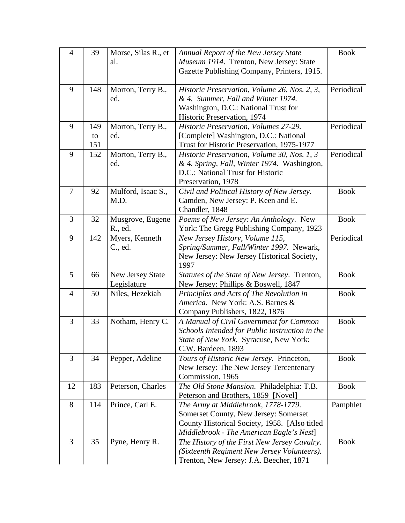| $\overline{4}$ | 39  | Morse, Silas R., et | Annual Report of the New Jersey State          | <b>Book</b> |
|----------------|-----|---------------------|------------------------------------------------|-------------|
|                |     | al.                 | Museum 1914. Trenton, New Jersey: State        |             |
|                |     |                     | Gazette Publishing Company, Printers, 1915.    |             |
|                |     |                     |                                                |             |
| 9              | 148 | Morton, Terry B.,   | Historic Preservation, Volume 26, Nos. 2, 3,   | Periodical  |
|                |     | ed.                 | & 4. Summer, Fall and Winter 1974.             |             |
|                |     |                     | Washington, D.C.: National Trust for           |             |
|                |     |                     | Historic Preservation, 1974                    |             |
| 9              | 149 | Morton, Terry B.,   | Historic Preservation, Volumes 27-29.          | Periodical  |
|                | to  | ed.                 | [Complete] Washington, D.C.: National          |             |
|                | 151 |                     | Trust for Historic Preservation, 1975-1977     |             |
| 9              | 152 | Morton, Terry B.,   | Historic Preservation, Volume 30, Nos. 1, 3    | Periodical  |
|                |     | ed.                 | & 4. Spring, Fall, Winter 1974. Washington,    |             |
|                |     |                     | D.C.: National Trust for Historic              |             |
|                |     |                     | Preservation, 1978                             |             |
| 7              | 92  | Mulford, Isaac S.,  | Civil and Political History of New Jersey.     | <b>Book</b> |
|                |     | M.D.                | Camden, New Jersey: P. Keen and E.             |             |
|                |     |                     | Chandler, 1848                                 |             |
| 3              | 32  | Musgrove, Eugene    | Poems of New Jersey: An Anthology. New         | <b>Book</b> |
|                |     | R., ed.             | York: The Gregg Publishing Company, 1923       |             |
| 9              | 142 | Myers, Kenneth      | New Jersey History, Volume 115,                | Periodical  |
|                |     | C., ed.             | Spring/Summer, Fall/Winter 1997. Newark,       |             |
|                |     |                     | New Jersey: New Jersey Historical Society,     |             |
|                |     |                     | 1997                                           |             |
| 5              | 66  | New Jersey State    | Statutes of the State of New Jersey. Trenton,  | <b>Book</b> |
|                |     | Legislature         | New Jersey: Phillips & Boswell, 1847           |             |
| $\overline{4}$ | 50  | Niles, Hezekiah     | Principles and Acts of The Revolution in       | <b>Book</b> |
|                |     |                     | America. New York: A.S. Barnes &               |             |
|                |     |                     | Company Publishers, 1822, 1876                 |             |
| 3              | 33  | Notham, Henry C.    | A Manual of Civil Government for Common        | <b>Book</b> |
|                |     |                     | Schools Intended for Public Instruction in the |             |
|                |     |                     | State of New York. Syracuse, New York:         |             |
|                |     |                     | C.W. Bardeen, 1893                             |             |
| 3              | 34  | Pepper, Adeline     | Tours of Historic New Jersey. Princeton,       | <b>Book</b> |
|                |     |                     | New Jersey: The New Jersey Tercentenary        |             |
|                |     |                     | Commission, 1965                               |             |
| 12             | 183 | Peterson, Charles   | The Old Stone Mansion. Philadelphia: T.B.      | <b>Book</b> |
|                |     |                     | Peterson and Brothers, 1859 [Novel]            |             |
| 8              | 114 | Prince, Carl E.     | The Army at Middlebrook, 1778-1779.            | Pamphlet    |
|                |     |                     | Somerset County, New Jersey: Somerset          |             |
|                |     |                     | County Historical Society, 1958. [Also titled  |             |
|                |     |                     | Middlebrook - The American Eagle's Nest]       |             |
| 3              | 35  | Pyne, Henry R.      | The History of the First New Jersey Cavalry.   | <b>Book</b> |
|                |     |                     | (Sixteenth Regiment New Jersey Volunteers).    |             |
|                |     |                     | Trenton, New Jersey: J.A. Beecher, 1871        |             |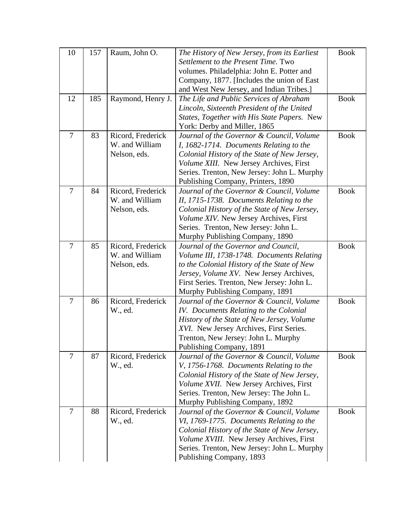| 10             | 157 | Raum, John O.     | The History of New Jersey, from its Earliest                                  | <b>Book</b> |
|----------------|-----|-------------------|-------------------------------------------------------------------------------|-------------|
|                |     |                   | Settlement to the Present Time. Two                                           |             |
|                |     |                   | volumes. Philadelphia: John E. Potter and                                     |             |
|                |     |                   | Company, 1877. [Includes the union of East                                    |             |
|                |     |                   | and West New Jersey, and Indian Tribes.]                                      |             |
| 12             | 185 | Raymond, Henry J. | The Life and Public Services of Abraham                                       | <b>Book</b> |
|                |     |                   | Lincoln, Sixteenth President of the United                                    |             |
|                |     |                   | States, Together with His State Papers. New                                   |             |
|                |     |                   | York: Derby and Miller, 1865                                                  |             |
| $\overline{7}$ | 83  | Ricord, Frederick | Journal of the Governor & Council, Volume                                     | <b>Book</b> |
|                |     | W. and William    | I, 1682-1714. Documents Relating to the                                       |             |
|                |     | Nelson, eds.      | Colonial History of the State of New Jersey,                                  |             |
|                |     |                   | Volume XIII. New Jersey Archives, First                                       |             |
|                |     |                   | Series. Trenton, New Jersey: John L. Murphy                                   |             |
|                |     |                   | Publishing Company, Printers, 1890                                            |             |
| $\overline{7}$ | 84  | Ricord, Frederick | Journal of the Governor & Council, Volume                                     | <b>Book</b> |
|                |     | W. and William    | II, 1715-1738. Documents Relating to the                                      |             |
|                |     | Nelson, eds.      | Colonial History of the State of New Jersey,                                  |             |
|                |     |                   | Volume XIV. New Jersey Archives, First                                        |             |
|                |     |                   | Series. Trenton, New Jersey: John L.                                          |             |
|                |     |                   | Murphy Publishing Company, 1890                                               |             |
| $\tau$         | 85  | Ricord, Frederick | Journal of the Governor and Council,                                          | <b>Book</b> |
|                |     | W. and William    | Volume III, 1738-1748. Documents Relating                                     |             |
|                |     | Nelson, eds.      | to the Colonial History of the State of New                                   |             |
|                |     |                   | Jersey, Volume XV. New Jersey Archives,                                       |             |
|                |     |                   | First Series. Trenton, New Jersey: John L.<br>Murphy Publishing Company, 1891 |             |
| $\overline{7}$ | 86  | Ricord, Frederick | Journal of the Governor & Council, Volume                                     | <b>Book</b> |
|                |     | W., ed.           | IV. Documents Relating to the Colonial                                        |             |
|                |     |                   | History of the State of New Jersey, Volume                                    |             |
|                |     |                   | XVI. New Jersey Archives, First Series.                                       |             |
|                |     |                   | Trenton, New Jersey: John L. Murphy                                           |             |
|                |     |                   | Publishing Company, 1891                                                      |             |
| $\overline{7}$ | 87  | Ricord, Frederick | Journal of the Governor & Council, Volume                                     | <b>Book</b> |
|                |     | W., ed.           | V, 1756-1768. Documents Relating to the                                       |             |
|                |     |                   | Colonial History of the State of New Jersey,                                  |             |
|                |     |                   | Volume XVII. New Jersey Archives, First                                       |             |
|                |     |                   | Series. Trenton, New Jersey: The John L.                                      |             |
|                |     |                   | Murphy Publishing Company, 1892                                               |             |
| $\overline{7}$ | 88  | Ricord, Frederick | Journal of the Governor & Council, Volume                                     | <b>Book</b> |
|                |     | W., ed.           | VI, 1769-1775. Documents Relating to the                                      |             |
|                |     |                   | Colonial History of the State of New Jersey,                                  |             |
|                |     |                   | Volume XVIII. New Jersey Archives, First                                      |             |
|                |     |                   | Series. Trenton, New Jersey: John L. Murphy                                   |             |
|                |     |                   | Publishing Company, 1893                                                      |             |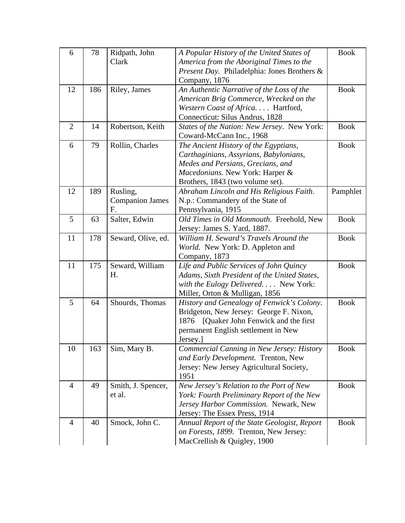| 6              | 78  | Ridpath, John          | A Popular History of the United States of    | <b>Book</b> |
|----------------|-----|------------------------|----------------------------------------------|-------------|
|                |     | Clark                  | America from the Aboriginal Times to the     |             |
|                |     |                        | Present Day. Philadelphia: Jones Brothers &  |             |
|                |     |                        | Company, 1876                                |             |
| 12             | 186 | Riley, James           | An Authentic Narrative of the Loss of the    | <b>Book</b> |
|                |     |                        | American Brig Commerce, Wrecked on the       |             |
|                |     |                        | Western Coast of Africa Hartford,            |             |
|                |     |                        | Connecticut: Silus Andrus, 1828              |             |
| $\overline{2}$ | 14  | Robertson, Keith       | States of the Nation: New Jersey. New York:  | <b>Book</b> |
|                |     |                        | Coward-McCann Inc., 1968                     |             |
| 6              | 79  | Rollin, Charles        | The Ancient History of the Egyptians,        | <b>Book</b> |
|                |     |                        | Carthaginians, Assyrians, Babylonians,       |             |
|                |     |                        | Medes and Persians, Grecians, and            |             |
|                |     |                        | Macedonians. New York: Harper &              |             |
|                |     |                        | Brothers, 1843 (two volume set).             |             |
| 12             | 189 | Rusling,               | Abraham Lincoln and His Religious Faith.     | Pamphlet    |
|                |     | <b>Companion James</b> | N.p.: Commandery of the State of             |             |
|                |     | F.                     | Pennsylvania, 1915                           |             |
| 5              | 63  | Salter, Edwin          | Old Times in Old Monmouth. Freehold, New     | <b>Book</b> |
|                |     |                        | Jersey: James S. Yard, 1887.                 |             |
| 11             | 178 | Seward, Olive, ed.     | William H. Seward's Travels Around the       | <b>Book</b> |
|                |     |                        | World. New York: D. Appleton and             |             |
|                |     |                        | Company, 1873                                |             |
| 11             | 175 | Seward, William        | Life and Public Services of John Quincy      | <b>Book</b> |
|                |     | Η.                     | Adams, Sixth President of the United States, |             |
|                |     |                        | with the Eulogy Delivered. New York:         |             |
|                |     |                        | Miller, Orton & Mulligan, 1856               |             |
| 5              | 64  | Shourds, Thomas        | History and Genealogy of Fenwick's Colony.   | <b>Book</b> |
|                |     |                        | Bridgeton, New Jersey: George F. Nixon,      |             |
|                |     |                        | [Quaker John Fenwick and the first]<br>1876  |             |
|                |     |                        | permanent English settlement in New          |             |
|                |     |                        | Jersey.]                                     |             |
| 10             | 163 | Sim, Mary B.           | Commercial Canning in New Jersey: History    | <b>Book</b> |
|                |     |                        | and Early Development. Trenton, New          |             |
|                |     |                        | Jersey: New Jersey Agricultural Society,     |             |
|                |     |                        | 1951                                         |             |
| $\overline{4}$ | 49  | Smith, J. Spencer,     | New Jersey's Relation to the Port of New     | <b>Book</b> |
|                |     | et al.                 | York: Fourth Preliminary Report of the New   |             |
|                |     |                        | Jersey Harbor Commission. Newark, New        |             |
|                |     |                        | Jersey: The Essex Press, 1914                |             |
| 4              | 40  | Smock, John C.         | Annual Report of the State Geologist, Report | <b>Book</b> |
|                |     |                        | on Forests, 1899. Trenton, New Jersey:       |             |
|                |     |                        | MacCrellish & Quigley, 1900                  |             |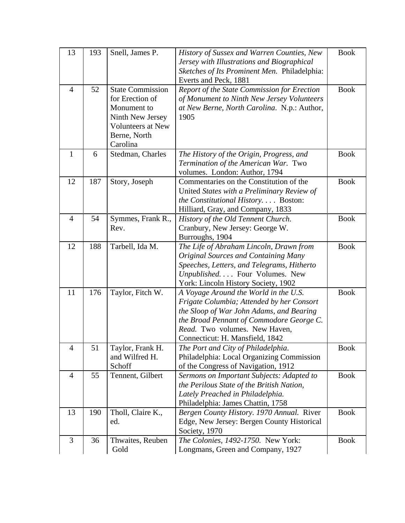| 13             | 193 | Snell, James P.                                                                                                                       | History of Sussex and Warren Counties, New<br>Jersey with Illustrations and Biographical<br>Sketches of Its Prominent Men. Philadelphia:<br>Everts and Peck, 1881                                                                              | <b>Book</b> |
|----------------|-----|---------------------------------------------------------------------------------------------------------------------------------------|------------------------------------------------------------------------------------------------------------------------------------------------------------------------------------------------------------------------------------------------|-------------|
| $\overline{4}$ | 52  | <b>State Commission</b><br>for Erection of<br>Monument to<br>Ninth New Jersey<br><b>Volunteers at New</b><br>Berne, North<br>Carolina | Report of the State Commission for Erection<br>of Monument to Ninth New Jersey Volunteers<br>at New Berne, North Carolina. N.p.: Author,<br>1905                                                                                               | <b>Book</b> |
| $\mathbf{1}$   | 6   | Stedman, Charles                                                                                                                      | The History of the Origin, Progress, and<br>Termination of the American War. Two<br>volumes. London: Author, 1794                                                                                                                              | <b>Book</b> |
| 12             | 187 | Story, Joseph                                                                                                                         | Commentaries on the Constitution of the<br>United States with a Preliminary Review of<br>the Constitutional History Boston:<br>Hilliard, Gray, and Company, 1833                                                                               | <b>Book</b> |
| $\overline{4}$ | 54  | Symmes, Frank R.,<br>Rev.                                                                                                             | History of the Old Tennent Church.<br>Cranbury, New Jersey: George W.<br>Burroughs, 1904                                                                                                                                                       | <b>Book</b> |
| 12             | 188 | Tarbell, Ida M.                                                                                                                       | The Life of Abraham Lincoln, Drawn from<br><b>Original Sources and Containing Many</b><br>Speeches, Letters, and Telegrams, Hitherto<br>Unpublished Four Volumes. New<br>York: Lincoln History Society, 1902                                   | <b>Book</b> |
| 11             | 176 | Taylor, Fitch W.                                                                                                                      | A Voyage Around the World in the U.S.<br>Frigate Columbia; Attended by her Consort<br>the Sloop of War John Adams, and Bearing<br>the Broad Pennant of Commodore George C.<br>Read. Two volumes. New Haven,<br>Connecticut: H. Mansfield, 1842 | <b>Book</b> |
| $\overline{4}$ | 51  | Taylor, Frank H.<br>and Wilfred H.<br>Schoff                                                                                          | The Port and City of Philadelphia.<br>Philadelphia: Local Organizing Commission<br>of the Congress of Navigation, 1912                                                                                                                         | <b>Book</b> |
| $\overline{4}$ | 55  | Tennent, Gilbert                                                                                                                      | Sermons on Important Subjects: Adapted to<br>the Perilous State of the British Nation,<br>Lately Preached in Philadelphia.<br>Philadelphia: James Chattin, 1758                                                                                | <b>Book</b> |
| 13             | 190 | Tholl, Claire K.,<br>ed.                                                                                                              | Bergen County History. 1970 Annual. River<br>Edge, New Jersey: Bergen County Historical<br>Society, 1970                                                                                                                                       | <b>Book</b> |
| 3              | 36  | Thwaites, Reuben<br>Gold                                                                                                              | The Colonies, 1492-1750. New York:<br>Longmans, Green and Company, 1927                                                                                                                                                                        | <b>Book</b> |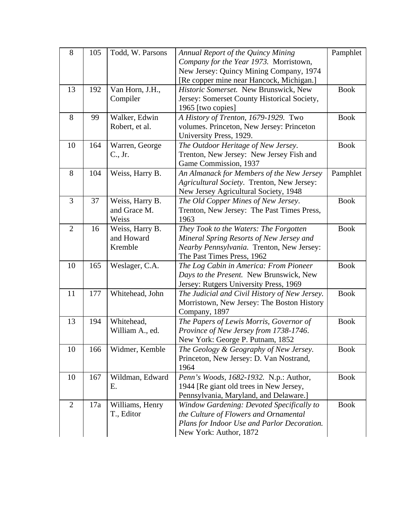| 8              | 105 | Todd, W. Parsons | Annual Report of the Quincy Mining<br>Company for the Year 1973. Morristown,<br>New Jersey: Quincy Mining Company, 1974 | Pamphlet    |
|----------------|-----|------------------|-------------------------------------------------------------------------------------------------------------------------|-------------|
|                |     |                  | [Re copper mine near Hancock, Michigan.]                                                                                |             |
| 13             | 192 | Van Horn, J.H.,  | Historic Somerset. New Brunswick, New                                                                                   | <b>Book</b> |
|                |     | Compiler         | Jersey: Somerset County Historical Society,                                                                             |             |
|                |     |                  | 1965 [two copies]                                                                                                       |             |
| 8              | 99  | Walker, Edwin    | A History of Trenton, 1679-1929. Two                                                                                    | <b>Book</b> |
|                |     | Robert, et al.   | volumes. Princeton, New Jersey: Princeton                                                                               |             |
|                |     |                  | University Press, 1929.                                                                                                 |             |
| 10             | 164 | Warren, George   | The Outdoor Heritage of New Jersey.                                                                                     | <b>Book</b> |
|                |     | C., Jr.          | Trenton, New Jersey: New Jersey Fish and                                                                                |             |
|                |     |                  | Game Commission, 1937                                                                                                   |             |
| 8              | 104 | Weiss, Harry B.  | An Almanack for Members of the New Jersey                                                                               | Pamphlet    |
|                |     |                  | Agricultural Society. Trenton, New Jersey:                                                                              |             |
|                |     |                  | New Jersey Agricultural Society, 1948                                                                                   |             |
| 3              | 37  | Weiss, Harry B.  | The Old Copper Mines of New Jersey.                                                                                     | <b>Book</b> |
|                |     | and Grace M.     | Trenton, New Jersey: The Past Times Press,                                                                              |             |
|                |     | Weiss            | 1963                                                                                                                    |             |
| $\overline{2}$ | 16  | Weiss, Harry B.  | They Took to the Waters: The Forgotten                                                                                  | <b>Book</b> |
|                |     | and Howard       | Mineral Spring Resorts of New Jersey and                                                                                |             |
|                |     | Kremble          | Nearby Pennsylvania. Trenton, New Jersey:                                                                               |             |
|                |     |                  | The Past Times Press, 1962                                                                                              |             |
| 10             | 165 | Weslager, C.A.   | The Log Cabin in America: From Pioneer                                                                                  | <b>Book</b> |
|                |     |                  | Days to the Present. New Brunswick, New                                                                                 |             |
|                |     |                  | Jersey: Rutgers University Press, 1969                                                                                  |             |
| 11             | 177 | Whitehead, John  | The Judicial and Civil History of New Jersey.                                                                           | <b>Book</b> |
|                |     |                  | Morristown, New Jersey: The Boston History                                                                              |             |
|                |     |                  | Company, 1897                                                                                                           |             |
| 13             | 194 | Whitehead,       | The Papers of Lewis Morris, Governor of                                                                                 | <b>Book</b> |
|                |     | William A., ed.  | Province of New Jersey from 1738-1746.                                                                                  |             |
|                |     |                  | New York: George P. Putnam, 1852                                                                                        |             |
| 10             | 166 | Widmer, Kemble   | The Geology & Geography of New Jersey.                                                                                  | <b>Book</b> |
|                |     |                  | Princeton, New Jersey: D. Van Nostrand,                                                                                 |             |
|                |     |                  | 1964                                                                                                                    |             |
| 10             | 167 | Wildman, Edward  | Penn's Woods, 1682-1932. N.p.: Author,                                                                                  | <b>Book</b> |
|                |     | Ε.               | 1944 [Re giant old trees in New Jersey,                                                                                 |             |
|                |     |                  | Pennsylvania, Maryland, and Delaware.]                                                                                  |             |
| 2              | 17a | Williams, Henry  | Window Gardening: Devoted Specifically to                                                                               | <b>Book</b> |
|                |     | T., Editor       | the Culture of Flowers and Ornamental                                                                                   |             |
|                |     |                  | Plans for Indoor Use and Parlor Decoration.                                                                             |             |
|                |     |                  | New York: Author, 1872                                                                                                  |             |